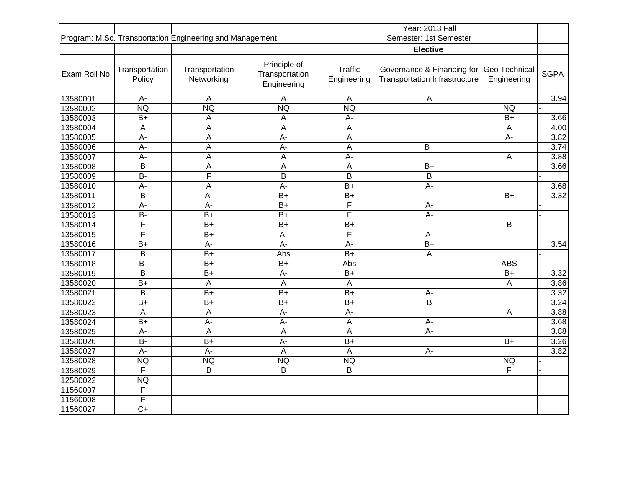|               |                          |                                                          |                                               |                               | Year: 2013 Fall                                                                  |                         |             |
|---------------|--------------------------|----------------------------------------------------------|-----------------------------------------------|-------------------------------|----------------------------------------------------------------------------------|-------------------------|-------------|
|               |                          | Program: M.Sc. Transportation Engineering and Management |                                               |                               | Semester: 1st Semester                                                           |                         |             |
|               |                          |                                                          |                                               |                               | <b>Elective</b>                                                                  |                         |             |
| Exam Roll No. | Transportation<br>Policy | Transportation<br>Networking                             | Principle of<br>Transportation<br>Engineering | <b>Traffic</b><br>Engineering | Governance & Financing for Geo Technical<br><b>Transportation Infrastructure</b> | Engineering             | <b>SGPA</b> |
| 13580001      | A-                       | A                                                        | Α                                             | $\overline{A}$                | A                                                                                |                         | 3.94        |
| 13580002      | <b>NQ</b>                | <b>NQ</b>                                                | <b>NQ</b>                                     | <b>NQ</b>                     |                                                                                  | <b>NQ</b>               |             |
| 13580003      | $B+$                     | Α                                                        | A                                             | A-                            |                                                                                  | $\overline{B+}$         | 3.66        |
| 13580004      | A                        | A                                                        | A                                             | $\mathsf A$                   |                                                                                  | Α                       | 4.00        |
| 13580005      | A-                       | A                                                        | $A -$                                         | A                             |                                                                                  | A-                      | 3.82        |
| 13580006      | A-                       | A                                                        | $A -$                                         | $\mathsf A$                   | $B+$                                                                             |                         | 3.74        |
| 13580007      | A-                       | $\mathsf A$                                              | A                                             | A-                            |                                                                                  | A                       | 3.88        |
| 13580008      | B                        | $\mathsf A$                                              | A                                             | $\overline{A}$                | $B+$                                                                             |                         | 3.66        |
| 13580009      | $\overline{B}$           | F                                                        | B                                             | $\mathsf B$                   | B                                                                                |                         |             |
| 13580010      | A-                       | $\mathsf{A}$                                             | $A -$                                         | $B+$                          | $A -$                                                                            |                         | 3.68        |
| 13580011      | B                        | $A -$                                                    | $\overline{B+}$                               | $B+$                          |                                                                                  | $B+$                    | 3.32        |
| 13580012      | $\overline{A}$ -         | $\overline{A}$ -                                         | $\overline{B+}$                               | F                             | $A -$                                                                            |                         |             |
| 13580013      | $\overline{B}$           | $\overline{B+}$                                          | $\overline{B+}$                               | F                             | $A -$                                                                            |                         |             |
| 13580014      | F                        | $B+$                                                     | $B+$                                          | $B+$                          |                                                                                  | $\overline{\mathsf{B}}$ |             |
| 13580015      | F                        | $B+$                                                     | $A -$                                         | F                             | $A -$                                                                            |                         |             |
| 13580016      | $B+$                     | A-                                                       | $A -$                                         | A-                            | $B+$                                                                             |                         | 3.54        |
| 13580017      | B                        | $\overline{B+}$                                          | Abs                                           | $\overline{B+}$               | $\mathsf A$                                                                      |                         |             |
| 13580018      | $\overline{B}$           | $\overline{B+}$                                          | $\overline{B+}$                               | Abs                           |                                                                                  | <b>ABS</b>              |             |
| 13580019      | B                        | $B+$                                                     | $A -$                                         | $B+$                          |                                                                                  | $B+$                    | 3.32        |
| 13580020      | $\overline{B+}$          | $\mathsf{A}$                                             | A                                             | A                             |                                                                                  | A                       | 3.86        |
| 13580021      | B                        | $\overline{B+}$                                          | $B+$                                          | $B+$                          | $A -$                                                                            |                         | 3.32        |
| 13580022      | $B+$                     | $B+$                                                     | $B+$                                          | $B+$                          | B                                                                                |                         | 3.24        |
| 13580023      | A                        | A                                                        | $A -$                                         | A-                            |                                                                                  | A                       | 3.88        |
| 13580024      | $\overline{B+}$          | $\overline{A}$ -                                         | $\overline{A}$                                | $\overline{A}$                | $A -$                                                                            |                         | 3.68        |
| 13580025      | A-                       | $\mathsf A$                                              | A                                             | $\boldsymbol{\mathsf{A}}$     | $A -$                                                                            |                         | 3.88        |
| 13580026      | $\overline{B}$           | $\overline{B+}$                                          | A-                                            | $\overline{B+}$               |                                                                                  | $\overline{B+}$         | 3.26        |
| 13580027      | $\overline{A}$ -         | $\overline{A}$                                           | A                                             | $\overline{A}$                | A-                                                                               |                         | 3.82        |
| 13580028      | <b>NQ</b>                | <b>NQ</b>                                                | <b>NQ</b>                                     | <b>NQ</b>                     |                                                                                  | <b>NQ</b>               |             |
| 13580029      | F                        | B                                                        | B                                             | $\mathsf B$                   |                                                                                  | F                       |             |
| 12580022      | <b>NQ</b>                |                                                          |                                               |                               |                                                                                  |                         |             |
| 11560007      | F                        |                                                          |                                               |                               |                                                                                  |                         |             |
| 11560008      | F                        |                                                          |                                               |                               |                                                                                  |                         |             |
| 11560027      | $\overline{C}$           |                                                          |                                               |                               |                                                                                  |                         |             |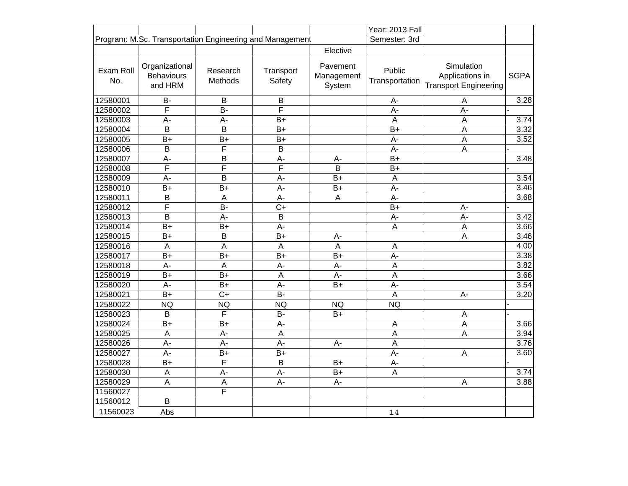|                                                                           |                                                |                     |                     |                                  | Year: 2013 Fall          |                                                               |                   |
|---------------------------------------------------------------------------|------------------------------------------------|---------------------|---------------------|----------------------------------|--------------------------|---------------------------------------------------------------|-------------------|
| Program: M.Sc. Transportation Engineering and Management<br>Semester: 3rd |                                                |                     |                     |                                  |                          |                                                               |                   |
|                                                                           |                                                |                     |                     | Elective                         |                          |                                                               |                   |
| Exam Roll<br>No.                                                          | Organizational<br><b>Behaviours</b><br>and HRM | Research<br>Methods | Transport<br>Safety | Pavement<br>Management<br>System | Public<br>Transportation | Simulation<br>Applications in<br><b>Transport Engineering</b> | <b>SGPA</b>       |
| 12580001                                                                  | <b>B-</b>                                      | B                   | B                   |                                  | A-                       | $\overline{A}$                                                | $\overline{3.28}$ |
| 12580002                                                                  | F                                              | $B -$               | F                   |                                  | A-                       | $A -$                                                         |                   |
| 12580003                                                                  | A-                                             | $A -$               | $B+$                |                                  | $\overline{A}$           | $\overline{A}$                                                | 3.74              |
| 12580004                                                                  | $\overline{B}$                                 | B                   | $B+$                |                                  | $B+$                     | A                                                             | 3.32              |
| 12580005                                                                  | $B+$                                           | $B+$                | $B+$                |                                  | A-                       | $\mathsf{A}$                                                  | 3.52              |
| 12580006                                                                  | B                                              | F                   | B                   |                                  | A-                       | A                                                             |                   |
| 12580007                                                                  | A-                                             | B                   | $A -$               | A-                               | $B+$                     |                                                               | 3.48              |
| 12580008                                                                  | $\overline{F}$                                 | F                   | F                   | B                                | $B+$                     |                                                               |                   |
| 12580009                                                                  | A-                                             | B                   | A-                  | $B+$                             | A                        |                                                               | $\overline{3.54}$ |
| 12580010                                                                  | $B+$                                           | $B+$                | $A -$               | $B+$                             | A-                       |                                                               | 3.46              |
| 12580011                                                                  | $\overline{B}$                                 | A                   | $A -$               | $\mathsf A$                      | A-                       |                                                               | 3.68              |
| 12580012                                                                  | $\overline{\mathsf{F}}$                        | $\overline{B}$      | $\overline{C+}$     |                                  | $B+$                     | $A -$                                                         |                   |
| 12580013                                                                  | B                                              | $A -$               | B                   |                                  | A-                       | $A -$                                                         | 3.42              |
| 12580014                                                                  | $B+$                                           | $B+$                | $A -$               |                                  | A                        | $\mathsf{A}$                                                  | $\overline{3.66}$ |
| 12580015                                                                  | $B+$                                           | B                   | $B+$                | A-                               |                          | A                                                             | 3.46              |
| 12580016                                                                  | $\boldsymbol{\mathsf{A}}$                      | $\overline{A}$      | A                   | $\boldsymbol{\mathsf{A}}$        | $\mathsf A$              |                                                               | 4.00              |
| 12580017                                                                  | $B+$                                           | $B+$                | $B+$                | $B+$                             | A-                       |                                                               | 3.38              |
| 12580018                                                                  | A-                                             | A                   | $A -$               | А-                               | $\overline{A}$           |                                                               | 3.82              |
| 12580019                                                                  | $B+$                                           | $B+$                | $\overline{A}$      | A-                               | $\overline{A}$           |                                                               | 3.66              |
| 12580020                                                                  | A-                                             | $B+$                | $A -$               | $B+$                             | $A -$                    |                                                               | 3.54              |
| 12580021                                                                  | $B+$                                           | $C+$                | <b>B-</b>           |                                  | A                        | $A -$                                                         | 3.20              |
| 12580022                                                                  | <b>NQ</b>                                      | <b>NQ</b>           | <b>NQ</b>           | <b>NQ</b>                        | <b>NQ</b>                |                                                               |                   |
| 12580023                                                                  | B                                              | F                   | <b>B-</b>           | $B+$                             |                          | A                                                             |                   |
| 12580024                                                                  | $B+$                                           | $B+$                | $A -$               |                                  | $\mathsf A$              | $\mathsf A$                                                   | 3.66              |
| 12580025                                                                  | $\mathsf{A}$                                   | A-                  | $\overline{A}$      |                                  | $\overline{A}$           | A                                                             | 3.94              |
| 12580026                                                                  | A-                                             | $A -$               | A-                  | А-                               | $\overline{A}$           |                                                               | 3.76              |
| 12580027                                                                  | $A -$                                          | $B+$                | $B+$                |                                  | A-                       | A                                                             | 3.60              |
| 12580028                                                                  | $B+$                                           | F                   | B                   | $B+$                             | $A -$                    |                                                               |                   |
| 12580030                                                                  | $\boldsymbol{\mathsf{A}}$                      | A-                  | $A -$               | $B+$                             | A                        |                                                               | 3.74              |
| 12580029                                                                  | $\boldsymbol{\mathsf{A}}$                      | A                   | $\overline{A}$      | A-                               |                          | A                                                             | 3.88              |
| 11560027                                                                  |                                                | F                   |                     |                                  |                          |                                                               |                   |
| 11560012                                                                  | B                                              |                     |                     |                                  |                          |                                                               |                   |
| 11560023                                                                  | Abs                                            |                     |                     |                                  | 14                       |                                                               |                   |